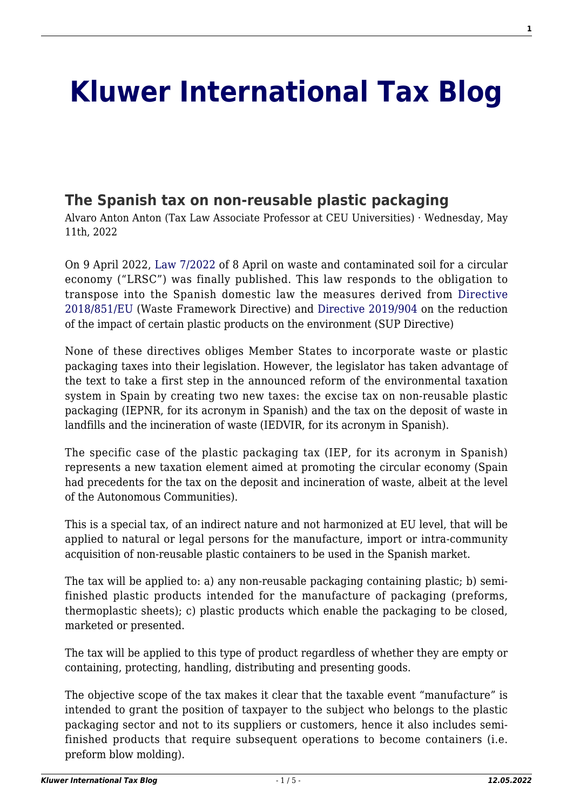# **[Kluwer International Tax Blog](http://kluwertaxblog.com/)**

## **[The Spanish tax on non-reusable plastic packaging](http://kluwertaxblog.com/2022/05/11/the-spanish-tax-on-non-reusable-plastic-packaging/)**

Alvaro Anton Anton (Tax Law Associate Professor at CEU Universities) · Wednesday, May 11th, 2022

On 9 April 2022, [Law 7/2022](https://www.boe.es/buscar/act.php?id=BOE-A-2022-5809) of 8 April on waste and contaminated soil for a circular economy ("LRSC") was finally published. This law responds to the obligation to transpose into the Spanish domestic law the measures derived from [Directive](https://eur-lex.europa.eu/legal-content/ES/TXT/?uri=CELEX%3A32018L0851) [2018/851/EU](https://eur-lex.europa.eu/legal-content/ES/TXT/?uri=CELEX%3A32018L0851) (Waste Framework Directive) and [Directive 2019/904](https://eur-lex.europa.eu/legal-content/ES/TXT/?uri=CELEX%3A32019L0904) on the reduction of the impact of certain plastic products on the environment (SUP Directive)

None of these directives obliges Member States to incorporate waste or plastic packaging taxes into their legislation. However, the legislator has taken advantage of the text to take a first step in the announced reform of the environmental taxation system in Spain by creating two new taxes: the excise tax on non-reusable plastic packaging (IEPNR, for its acronym in Spanish) and the tax on the deposit of waste in landfills and the incineration of waste (IEDVIR, for its acronym in Spanish).

The specific case of the plastic packaging tax (IEP, for its acronym in Spanish) represents a new taxation element aimed at promoting the circular economy (Spain had precedents for the tax on the deposit and incineration of waste, albeit at the level of the Autonomous Communities).

This is a special tax, of an indirect nature and not harmonized at EU level, that will be applied to natural or legal persons for the manufacture, import or intra-community acquisition of non-reusable plastic containers to be used in the Spanish market.

The tax will be applied to: a) any non-reusable packaging containing plastic; b) semifinished plastic products intended for the manufacture of packaging (preforms, thermoplastic sheets); c) plastic products which enable the packaging to be closed, marketed or presented.

The tax will be applied to this type of product regardless of whether they are empty or containing, protecting, handling, distributing and presenting goods.

The objective scope of the tax makes it clear that the taxable event "manufacture" is intended to grant the position of taxpayer to the subject who belongs to the plastic packaging sector and not to its suppliers or customers, hence it also includes semifinished products that require subsequent operations to become containers (i.e. preform blow molding).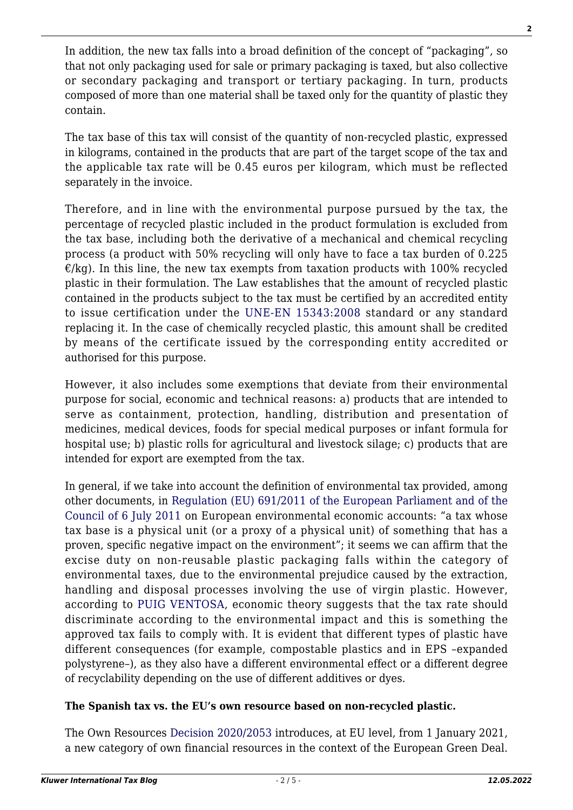In addition, the new tax falls into a broad definition of the concept of "packaging", so that not only packaging used for sale or primary packaging is taxed, but also collective or secondary packaging and transport or tertiary packaging. In turn, products composed of more than one material shall be taxed only for the quantity of plastic they contain.

The tax base of this tax will consist of the quantity of non-recycled plastic, expressed in kilograms, contained in the products that are part of the target scope of the tax and the applicable tax rate will be 0.45 euros per kilogram, which must be reflected separately in the invoice.

Therefore, and in line with the environmental purpose pursued by the tax, the percentage of recycled plastic included in the product formulation is excluded from the tax base, including both the derivative of a mechanical and chemical recycling process (a product with 50% recycling will only have to face a tax burden of 0.225  $\epsilon$ /kg). In this line, the new tax exempts from taxation products with 100% recycled plastic in their formulation. The Law establishes that the amount of recycled plastic contained in the products subject to the tax must be certified by an accredited entity to issue certification under the [UNE-EN 15343:2008](https://www.une.org/encuentra-tu-norma/busca-tu-norma/norma?c=N0040956) standard or any standard replacing it. In the case of chemically recycled plastic, this amount shall be credited by means of the certificate issued by the corresponding entity accredited or authorised for this purpose.

However, it also includes some exemptions that deviate from their environmental purpose for social, economic and technical reasons: a) products that are intended to serve as containment, protection, handling, distribution and presentation of medicines, medical devices, foods for special medical purposes or infant formula for hospital use; b) plastic rolls for agricultural and livestock silage; c) products that are intended for export are exempted from the tax.

In general, if we take into account the definition of environmental tax provided, among other documents, in [Regulation \(EU\) 691/2011 of the European Parliament and of the](https://eur-lex.europa.eu/legal-content/EN/ALL/?uri=celex%3A32011R0691) [Council of 6 July 2011](https://eur-lex.europa.eu/legal-content/EN/ALL/?uri=celex%3A32011R0691) on European environmental economic accounts: "a tax whose tax base is a physical unit (or a proxy of a physical unit) of something that has a proven, specific negative impact on the environment"; it seems we can affirm that the excise duty on non-reusable plastic packaging falls within the category of environmental taxes, due to the environmental prejudice caused by the extraction, handling and disposal processes involving the use of virgin plastic. However, according to [PUIG VENTOSA](https://www.retema.es/articulo/la-fiscalidad-en-el-proyecto-de-ley-de-residuos-y-suelos-contaminados-PQrop), economic theory suggests that the tax rate should discriminate according to the environmental impact and this is something the approved tax fails to comply with. It is evident that different types of plastic have different consequences (for example, compostable plastics and in EPS –expanded polystyrene–), as they also have a different environmental effect or a different degree of recyclability depending on the use of different additives or dyes.

#### **The Spanish tax vs. the EU's own resource based on non-recycled plastic.**

The Own Resources [Decision 2020/2053](https://eur-lex.europa.eu/legal-content/EN/TXT/?uri=celex%3A32020D2053) introduces, at EU level, from 1 January 2021, a new category of own financial resources in the context of the European Green Deal.

**2**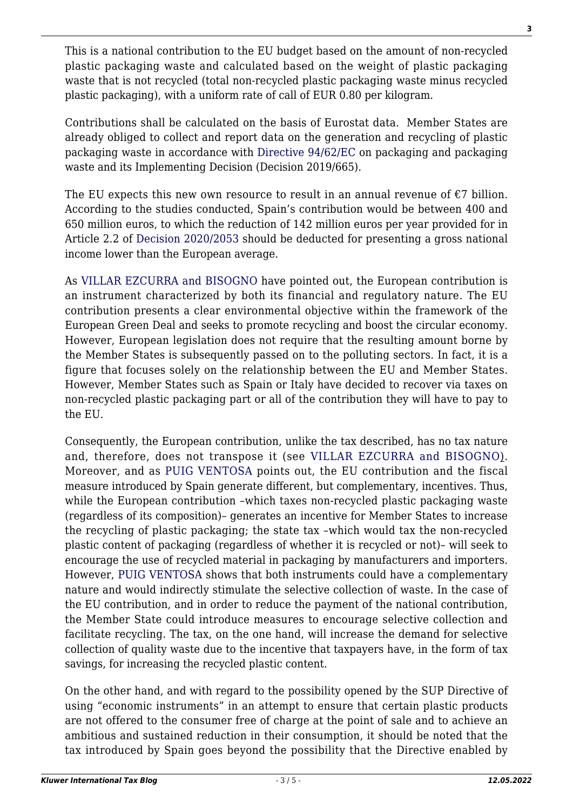This is a national contribution to the EU budget based on the amount of non-recycled plastic packaging waste and calculated based on the weight of plastic packaging waste that is not recycled (total non-recycled plastic packaging waste minus recycled plastic packaging), with a uniform rate of call of EUR 0.80 per kilogram.

Contributions shall be calculated on the basis of Eurostat data. Member States are already obliged to collect and report data on the generation and recycling of plastic packaging waste in accordance with [Directive 94/62/EC](https://eur-lex.europa.eu/legal-content/EN/TXT/?uri=celex%3A32019D0665) on packaging and packaging waste and its Implementing Decision (Decision 2019/665).

The EU expects this new own resource to result in an annual revenue of  $\epsilon$ 7 billion. According to the studies conducted, Spain's contribution would be between 400 and 650 million euros, to which the reduction of 142 million euros per year provided for in Article 2.2 of [Decision 2020/2053](https://eur-lex.europa.eu/legal-content/EN/TXT/?uri=celex%3A32020D2053) should be deducted for presenting a gross national income lower than the European average.

As [VILLAR EZCURRA and BISOGNO](http://kluwertaxblog.com/2022/01/31/the-new-eu-plastic-contribution-lights-and-shadows-under-scrutiny/) have pointed out, the European contribution is an instrument characterized by both its financial and regulatory nature. The EU contribution presents a clear environmental objective within the framework of the European Green Deal and seeks to promote recycling and boost the circular economy. However, European legislation does not require that the resulting amount borne by the Member States is subsequently passed on to the polluting sectors. In fact, it is a figure that focuses solely on the relationship between the EU and Member States. However, Member States such as Spain or Italy have decided to recover via taxes on non-recycled plastic packaging part or all of the contribution they will have to pay to the EU.

Consequently, the European contribution, unlike the tax described, has no tax nature and, therefore, does not transpose it (see [VILLAR EZCURRA and BISOGNO\)](http://kluwertaxblog.com/2022/01/31/the-new-eu-plastic-contribution-lights-and-shadows-under-scrutiny/). Moreover, and as [PUIG VENTOSA](https://www.retema.es/articulo/la-fiscalidad-en-el-proyecto-de-ley-de-residuos-y-suelos-contaminados-PQrop) points out, the EU contribution and the fiscal measure introduced by Spain generate different, but complementary, incentives. Thus, while the European contribution –which taxes non-recycled plastic packaging waste (regardless of its composition)– generates an incentive for Member States to increase the recycling of plastic packaging; the state tax –which would tax the non-recycled plastic content of packaging (regardless of whether it is recycled or not)– will seek to encourage the use of recycled material in packaging by manufacturers and importers. However, [PUIG VENTOSA](https://www.retema.es/articulo/la-fiscalidad-en-el-proyecto-de-ley-de-residuos-y-suelos-contaminados-PQrop) shows that both instruments could have a complementary nature and would indirectly stimulate the selective collection of waste. In the case of the EU contribution, and in order to reduce the payment of the national contribution, the Member State could introduce measures to encourage selective collection and facilitate recycling. The tax, on the one hand, will increase the demand for selective collection of quality waste due to the incentive that taxpayers have, in the form of tax savings, for increasing the recycled plastic content.

On the other hand, and with regard to the possibility opened by the SUP Directive of using "economic instruments" in an attempt to ensure that certain plastic products are not offered to the consumer free of charge at the point of sale and to achieve an ambitious and sustained reduction in their consumption, it should be noted that the tax introduced by Spain goes beyond the possibility that the Directive enabled by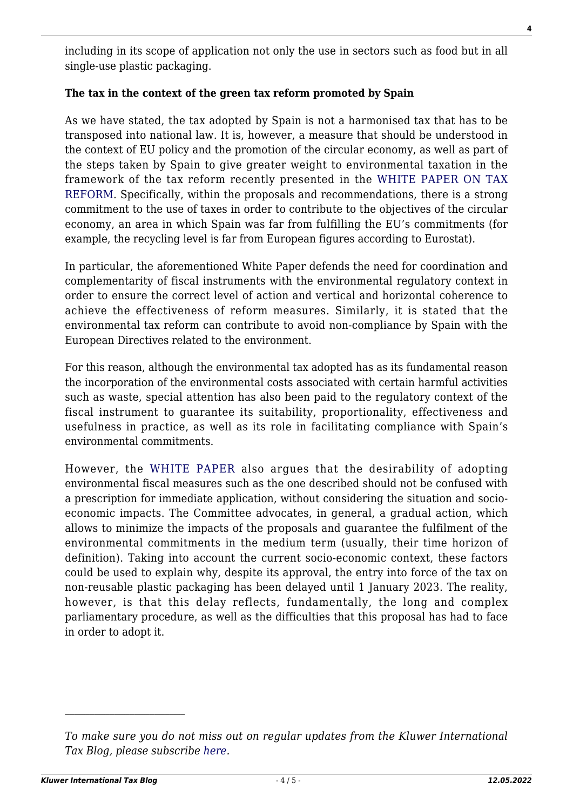including in its scope of application not only the use in sectors such as food but in all single-use plastic packaging.

#### **The tax in the context of the green tax reform promoted by Spain**

As we have stated, the tax adopted by Spain is not a harmonised tax that has to be transposed into national law. It is, however, a measure that should be understood in the context of EU policy and the promotion of the circular economy, as well as part of the steps taken by Spain to give greater weight to environmental taxation in the framework of the tax reform recently presented in the [WHITE PAPER ON TAX](https://www.ief.es/docs/investigacion/comiteexpertos/LibroBlancoReformaTributaria_2022.pdf) [REFORM.](https://www.ief.es/docs/investigacion/comiteexpertos/LibroBlancoReformaTributaria_2022.pdf) Specifically, within the proposals and recommendations, there is a strong commitment to the use of taxes in order to contribute to the objectives of the circular economy, an area in which Spain was far from fulfilling the EU's commitments (for example, the recycling level is far from European figures according to Eurostat).

In particular, the aforementioned White Paper defends the need for coordination and complementarity of fiscal instruments with the environmental regulatory context in order to ensure the correct level of action and vertical and horizontal coherence to achieve the effectiveness of reform measures. Similarly, it is stated that the environmental tax reform can contribute to avoid non-compliance by Spain with the European Directives related to the environment.

For this reason, although the environmental tax adopted has as its fundamental reason the incorporation of the environmental costs associated with certain harmful activities such as waste, special attention has also been paid to the regulatory context of the fiscal instrument to guarantee its suitability, proportionality, effectiveness and usefulness in practice, as well as its role in facilitating compliance with Spain's environmental commitments.

However, the [WHITE PAPER](https://www.ief.es/docs/investigacion/comiteexpertos/LibroBlancoReformaTributaria_2022.pdf) also argues that the desirability of adopting environmental fiscal measures such as the one described should not be confused with a prescription for immediate application, without considering the situation and socioeconomic impacts. The Committee advocates, in general, a gradual action, which allows to minimize the impacts of the proposals and guarantee the fulfilment of the environmental commitments in the medium term (usually, their time horizon of definition). Taking into account the current socio-economic context, these factors could be used to explain why, despite its approval, the entry into force of the tax on non-reusable plastic packaging has been delayed until 1 January 2023. The reality, however, is that this delay reflects, fundamentally, the long and complex parliamentary procedure, as well as the difficulties that this proposal has had to face in order to adopt it.

*To make sure you do not miss out on regular updates from the Kluwer International Tax Blog, please subscribe [here.](http://kluwertaxblog.com/newsletter/)*